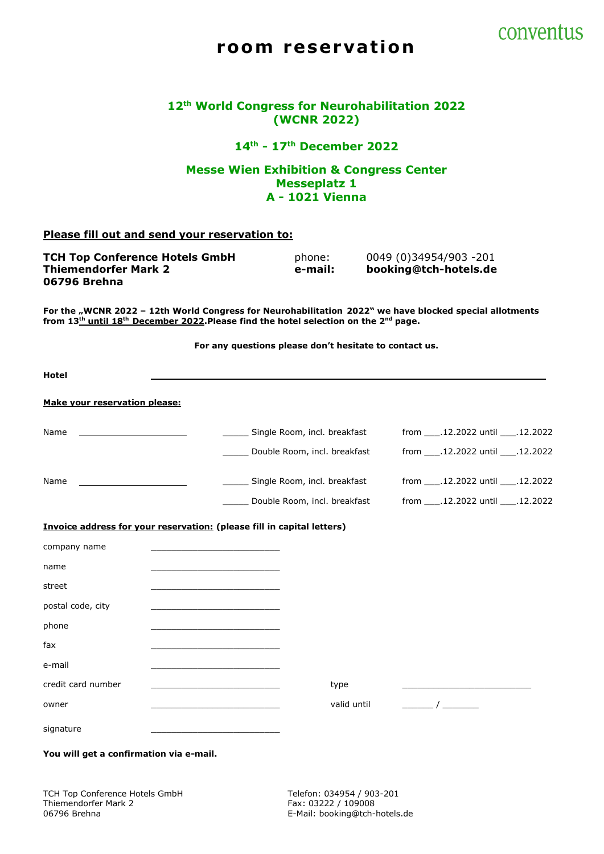

# room reservation

|  |  |                    | 12th World Congress for Neurohabilitation 2022 |  |
|--|--|--------------------|------------------------------------------------|--|
|  |  | <b>(WCNR 2022)</b> |                                                |  |

**14th - 17th December 2022**

#### **Messe Wien Exhibition & Congress Center Messeplatz 1 A - 1021 Vienna**

#### **Please fill out and send your reservation to:**

TCH Top Conference Hotels GmbH phone: 0049 (0)34954/903 -201 **Thiemendorfer Mark 2 e-mail: booking@tch-hotels.de 06796 Brehna**

**For the "WCNR 2022 – 12th World Congress for Neurohabilitation 2022" we have blocked special allotments from 13th until 18th December 2022.Please find the hotel selection on the 2nd page.**

**For any questions please don't hesitate to contact us.**

| <b>Hotel</b>                         |                                                                        |                                    |                                        |  |
|--------------------------------------|------------------------------------------------------------------------|------------------------------------|----------------------------------------|--|
| <b>Make your reservation please:</b> |                                                                        |                                    |                                        |  |
| Name                                 |                                                                        | _____ Single Room, incl. breakfast | from ____.12.2022 until ____.12.2022   |  |
|                                      |                                                                        | Double Room, incl. breakfast       | from ____.12.2022 until ____.12.2022   |  |
| Name                                 |                                                                        | Single Room, incl. breakfast       | from _____.12.2022 until _____.12.2022 |  |
|                                      |                                                                        | Double Room, incl. breakfast       | from _____.12.2022 until _____.12.2022 |  |
|                                      | Invoice address for your reservation: (please fill in capital letters) |                                    |                                        |  |
| company name                         |                                                                        |                                    |                                        |  |
| name                                 |                                                                        |                                    |                                        |  |
| street                               |                                                                        |                                    |                                        |  |
| postal code, city                    |                                                                        |                                    |                                        |  |
| phone                                |                                                                        |                                    |                                        |  |
| fax                                  |                                                                        |                                    |                                        |  |
| e-mail                               |                                                                        |                                    |                                        |  |
| credit card number                   |                                                                        | type                               |                                        |  |
| owner                                |                                                                        | valid until                        | $\overline{1}$                         |  |
| signature                            |                                                                        |                                    |                                        |  |

**You will get a confirmation via e-mail.**